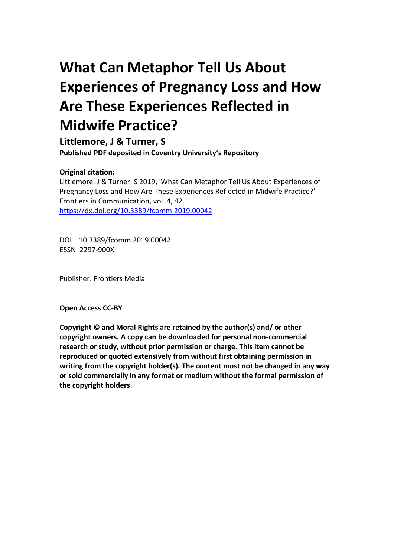# **What Can Metaphor Tell Us About Experiences of Pregnancy Loss and How Are These Experiences Reflected in Midwife Practice?**

**Littlemore, J & Turner, S Published PDF deposited in Coventry University's Repository** 

# **Original citation:**

Littlemore, J & Turner, S 2019, 'What Can Metaphor Tell Us About Experiences of Pregnancy Loss and How Are These Experiences Reflected in Midwife Practice?' Frontiers in Communication, vol. 4, 42. https://dx.doi.org/10.3389/fcomm.2019.00042

DOI 10.3389/fcomm.2019.00042 ESSN 2297-900X

Publisher: Frontiers Media

**Open Access CC-BY**

**Copyright © and Moral Rights are retained by the author(s) and/ or other copyright owners. A copy can be downloaded for personal non-commercial research or study, without prior permission or charge. This item cannot be reproduced or quoted extensively from without first obtaining permission in writing from the copyright holder(s). The content must not be changed in any way or sold commercially in any format or medium without the formal permission of the copyright holders**.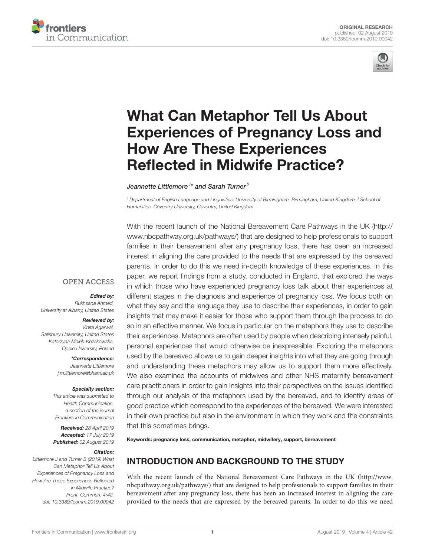



# What Can Metaphor Tell Us About [Experiences of Pregnancy Loss and](https://www.frontiersin.org/articles/10.3389/fcomm.2019.00042/full) How Are These Experiences Reflected in Midwife Practice?

[Jeannette Littlemore](http://loop.frontiersin.org/people/728747/overview)<sup>1\*</sup> and [Sarah Turner](http://loop.frontiersin.org/people/778845/overview)<sup>2</sup>

<sup>1</sup> Department of English Language and Linguistics, University of Birmingham, Birmingham, United Kingdom, <sup>2</sup> School of Humanities, Coventry University, Coventry, United Kingdom

With the recent launch of the National Bereavement Care Pathways in the UK [\(http://](http://www.nbcpathway.org.uk/pathways/) [www.nbcpathway.org.uk/pathways/\)](http://www.nbcpathway.org.uk/pathways/) that are designed to help professionals to support families in their bereavement after any pregnancy loss, there has been an increased interest in aligning the care provided to the needs that are expressed by the bereaved parents. In order to do this we need in-depth knowledge of these experiences. In this paper, we report findings from a study, conducted in England, that explored the ways in which those who have experienced pregnancy loss talk about their experiences at different stages in the diagnosis and experience of pregnancy loss. We focus both on what they say and the language they use to describe their experiences, in order to gain insights that may make it easier for those who support them through the process to do so in an effective manner. We focus in particular on the metaphors they use to describe their experiences. Metaphors are often used by people when describing intensely painful, personal experiences that would otherwise be inexpressible. Exploring the metaphors used by the bereaved allows us to gain deeper insights into what they are going through and understanding these metaphors may allow us to support them more effectively. We also examined the accounts of midwives and other NHS maternity bereavement care practitioners in order to gain insights into their perspectives on the issues identified through our analysis of the metaphors used by the bereaved, and to identify areas of good practice which correspond to the experiences of the bereaved. We were interested in their own practice but also in the environment in which they work and the constraints that this sometimes brings.

Keywords: pregnancy loss, communication, metaphor, midwifery, support, bereavement

#### Citation:

Littlemore J and Turner S (2019) What Can Metaphor Tell Us About Experiences of Pregnancy Loss and How Are These Experiences Reflected in Midwife Practice? Front. Commun. 4:42. doi: [10.3389/fcomm.2019.00042](https://doi.org/10.3389/fcomm.2019.00042)

# INTRODUCTION AND BACKGROUND TO THE STUDY

With the recent launch of the National Bereavement Care Pathways in the UK [\(http://www.](http://www.nbcpathway.org.uk/pathways/) [nbcpathway.org.uk/pathways/\)](http://www.nbcpathway.org.uk/pathways/) that are designed to help professionals to support families in their bereavement after any pregnancy loss, there has been an increased interest in aligning the care provided to the needs that are expressed by the bereaved parents. In order to do this we need

# **OPEN ACCESS**

Edited by:

Rukhsana Ahmed, University at Albany, United States

#### Reviewed by:

Vinita Agarwal, Salisbury University, United States Katarzyna Molek-Kozakowska, Opole University, Poland

> \*Correspondence: Jeannette Littlemore [j.m.littlemore@bham.ac.uk](mailto:j.m.littlemore@bham.ac.uk)

#### Specialty section:

This article was submitted to Health Communication, a section of the journal Frontiers in Communication

Received: 28 April 2019 Accepted: 17 July 2019 Published: 02 August 2019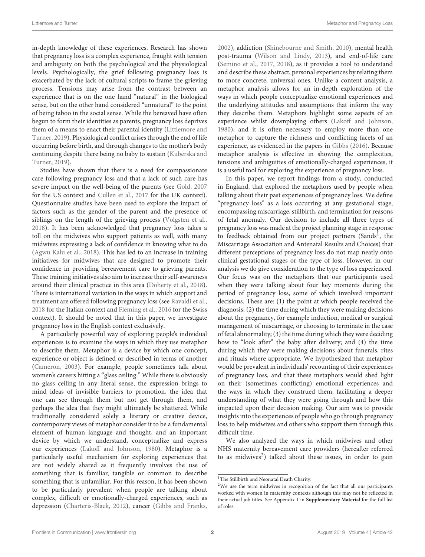in-depth knowledge of these experiences. Research has shown that pregnancy loss is a complex experience, fraught with tension and ambiguity on both the psychological and the physiological levels. Psychologically, the grief following pregnancy loss is exacerbated by the lack of cultural scripts to frame the grieving process. Tensions may arise from the contrast between an experience that is on the one hand "natural" in the biological sense, but on the other hand considered "unnatural" to the point of being taboo in the social sense. While the bereaved have often begun to form their identities as parents, pregnancy loss deprives them of a means to enact their parental identity (Littlemore and Turner, [2019\)](#page-17-0). Physiological conflict arises through the end of life occurring before birth, and through changes to the mother's body continuing despite there being no baby to sustain (Kuberska and Turner, [2019\)](#page-17-1).

Studies have shown that there is a need for compassionate care following pregnancy loss and that a lack of such care has severe impact on the well-being of the parents (see [Gold, 2007](#page-17-2) for the US context and [Cullen et al., 2017](#page-17-3) for the UK context). Questionnaire studies have been used to explore the impact of factors such as the gender of the parent and the presence of siblings on the length of the grieving process [\(Volgsten et al.,](#page-17-4) [2018\)](#page-17-4). It has been acknowledged that pregnancy loss takes a toll on the midwives who support patients as well, with many midwives expressing a lack of confidence in knowing what to do [\(Agwu Kalu et al., 2018\)](#page-17-5). This has led to an increase in training initiatives for midwives that are designed to promote their confidence in providing bereavement care to grieving parents. These training initiatives also aim to increase their self-awareness around their clinical practice in this area [\(Doherty et al., 2018\)](#page-17-6). There is international variation in the ways in which support and treatment are offered following pregnancy loss (see [Ravaldi et al.,](#page-17-7) [2018](#page-17-7) for the Italian context and [Fleming et al., 2016](#page-17-8) for the Swiss context). It should be noted that in this paper, we investigate pregnancy loss in the English context exclusively.

A particularly powerful way of exploring people's individual experiences is to examine the ways in which they use metaphor to describe them. Metaphor is a device by which one concept, experience or object is defined or described in terms of another [\(Cameron, 2003\)](#page-17-9). For example, people sometimes talk about women's careers hitting a "glass ceiling." While there is obviously no glass ceiling in any literal sense, the expression brings to mind ideas of invisible barriers to promotion, the idea that one can see through them but not get through them, and perhaps the idea that they might ultimately be shattered. While traditionally considered solely a literary or creative device, contemporary views of metaphor consider it to be a fundamental element of human language and thought, and an important device by which we understand, conceptualize and express our experiences [\(Lakoff and Johnson, 1980\)](#page-17-10). Metaphor is a particularly useful mechanism for exploring experiences that are not widely shared as it frequently involves the use of something that is familiar, tangible or common to describe something that is unfamiliar. For this reason, it has been shown to be particularly prevalent when people are talking about complex, difficult or emotionally-charged experiences, such as depression [\(Charteris-Black, 2012\)](#page-17-11), cancer [\(Gibbs and Franks,](#page-17-12) [2002\)](#page-17-12), addiction [\(Shinebourne and Smith, 2010\)](#page-17-13), mental health post-trauma [\(Wilson and Lindy, 2013\)](#page-17-14), and end-of-life care [\(Semino et al., 2017,](#page-17-15) [2018\)](#page-17-16), as it provides a tool to understand and describe these abstract, personal experiences by relating them to more concrete, universal ones. Unlike a content analysis, a metaphor analysis allows for an in-depth exploration of the ways in which people conceptualize emotional experiences and the underlying attitudes and assumptions that inform the way they describe them. Metaphors highlight some aspects of an experience whilst downplaying others [\(Lakoff and Johnson,](#page-17-10) [1980\)](#page-17-10), and it is often necessary to employ more than one metaphor to capture the richness and conflicting facets of an experience, as evidenced in the papers in [Gibbs \(2016\)](#page-17-17). Because metaphor analysis is effective in showing the complexities, tensions and ambiguities of emotionally-charged experiences, it is a useful tool for exploring the experience of pregnancy loss.

In this paper, we report findings from a study, conducted in England, that explored the metaphors used by people when talking about their past experiences of pregnancy loss. We define "pregnancy loss" as a loss occurring at any gestational stage, encompassing miscarriage, stillbirth, and termination for reasons of fetal anomaly. Our decision to include all three types of pregnancy loss was made at the project planning stage in response to feedback obtained from our project partners (Sands<sup>[1](#page-2-0)</sup>, the Miscarriage Association and Antenatal Results and Choices) that different perceptions of pregnancy loss do not map neatly onto clinical gestational stages or the type of loss. However, in our analysis we do give consideration to the type of loss experienced. Our focus was on the metaphors that our participants used when they were talking about four key moments during the period of pregnancy loss, some of which involved important decisions. These are: (1) the point at which people received the diagnosis; (2) the time during which they were making decisions about the pregnancy, for example induction, medical or surgical management of miscarriage, or choosing to terminate in the case of fetal abnormality; (3) the time during which they were deciding how to "look after" the baby after delivery; and (4) the time during which they were making decisions about funerals, rites and rituals where appropriate. We hypothesized that metaphor would be prevalent in individuals' recounting of their experiences of pregnancy loss, and that these metaphors would shed light on their (sometimes conflicting) emotional experiences and the ways in which they construed them, facilitating a deeper understanding of what they were going through and how this impacted upon their decision making. Our aim was to provide insights into the experiences of people who go through pregnancy loss to help midwives and others who support them through this difficult time.

We also analyzed the ways in which midwives and other NHS maternity bereavement care providers (hereafter referred to as midwives<sup>[2](#page-2-1)</sup>) talked about these issues, in order to gain

<span id="page-2-1"></span><span id="page-2-0"></span><sup>&</sup>lt;sup>1</sup>The Stillbirth and Neonatal Death Charity.

<sup>2</sup>We use the term midwives in recognition of the fact that all our participants worked with women in maternity contexts although this may not be reflected in their actual job titles. See Appendix 1 in **[Supplementary Material](#page-17-18)** for the full list of roles.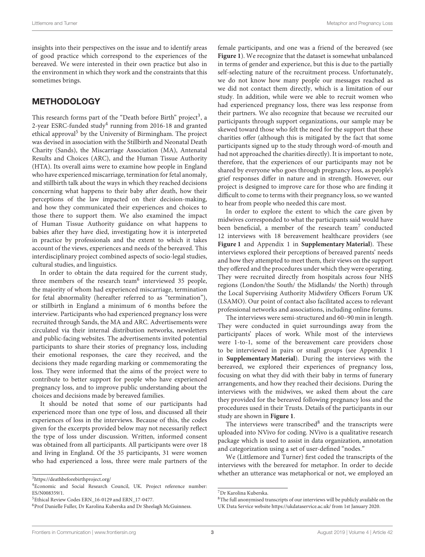insights into their perspectives on the issue and to identify areas of good practice which correspond to the experiences of the bereaved. We were interested in their own practice but also in the environment in which they work and the constraints that this sometimes brings.

# METHODOLOGY

This research forms part of the "Death before Birth" project<sup>[3](#page-3-0)</sup>, a 2-year ESRC-funded study $^4$  $^4$  running from 2016-18 and granted ethical approval<sup>[5](#page-3-2)</sup> by the University of Birmingham. The project was devised in association with the Stillbirth and Neonatal Death Charity (Sands), the Miscarriage Association (MA), Antenatal Results and Choices (ARC), and the Human Tissue Authority (HTA). Its overall aims were to examine how people in England who have experienced miscarriage, termination for fetal anomaly, and stillbirth talk about the ways in which they reached decisions concerning what happens to their baby after death, how their perceptions of the law impacted on their decision-making, and how they communicated their experiences and choices to those there to support them. We also examined the impact of Human Tissue Authority guidance on what happens to babies after they have died, investigating how it is interpreted in practice by professionals and the extent to which it takes account of the views, experiences and needs of the bereaved. This interdisciplinary project combined aspects of socio-legal studies, cultural studies, and linguistics.

In order to obtain the data required for the current study, three members of the research team<sup>[6](#page-3-3)</sup> interviewed 35 people, the majority of whom had experienced miscarriage, termination for fetal abnormality (hereafter referred to as "termination"), or stillbirth in England a minimum of 6 months before the interview. Participants who had experienced pregnancy loss were recruited through Sands, the MA and ARC. Advertisements were circulated via their internal distribution networks, newsletters and public-facing websites. The advertisements invited potential participants to share their stories of pregnancy loss, including their emotional responses, the care they received, and the decisions they made regarding marking or commemorating the loss. They were informed that the aims of the project were to contribute to better support for people who have experienced pregnancy loss, and to improve public understanding about the choices and decisions made by bereaved families.

It should be noted that some of our participants had experienced more than one type of loss, and discussed all their experiences of loss in the interviews. Because of this, the codes given for the excerpts provided below may not necessarily reflect the type of loss under discussion. Written, informed consent was obtained from all participants. All participants were over 18 and living in England. Of the 35 participants, 31 were women who had experienced a loss, three were male partners of the female participants, and one was a friend of the bereaved (see **[Figure 1](#page-4-0)**). We recognize that the dataset is somewhat unbalanced in terms of gender and experience, but this is due to the partially self-selecting nature of the recruitment process. Unfortunately, we do not know how many people our messages reached as we did not contact them directly, which is a limitation of our study. In addition, while were we able to recruit women who had experienced pregnancy loss, there was less response from their partners. We also recognize that because we recruited our participants through support organizations, our sample may be skewed toward those who felt the need for the support that these charities offer (although this is mitigated by the fact that some participants signed up to the study through word-of-mouth and had not approached the charities directly). It is important to note, therefore, that the experiences of our participants may not be shared by everyone who goes through pregnancy loss, as people's grief responses differ in nature and in strength. However, our project is designed to improve care for those who are finding it difficult to come to terms with their pregnancy loss, so we wanted to hear from people who needed this care most.

In order to explore the extent to which the care given by midwives corresponded to what the participants said would have been beneficial, a member of the research team<sup>[7](#page-3-4)</sup> conducted 12 interviews with 18 bereavement healthcare providers (see **[Figure 1](#page-4-0)** and Appendix 1 in **[Supplementary Material](#page-17-18)**). These interviews explored their perceptions of bereaved parents' needs and how they attempted to meet them, their views on the support they offered and the procedures under which they were operating. They were recruited directly from hospitals across four NHS regions (London/the South/ the Midlands/ the North) through the Local Supervising Authority Midwifery Officers Forum UK (LSAMO). Our point of contact also facilitated access to relevant professional networks and associations, including online forums.

The interviews were semi-structured and 60–90 min in length. They were conducted in quiet surroundings away from the participants' places of work. While most of the interviews were 1-to-1, some of the bereavement care providers chose to be interviewed in pairs or small groups (see Appendix 1 in **[Supplementary Material](#page-17-18)**). During the interviews with the bereaved, we explored their experiences of pregnancy loss, focusing on what they did with their baby in terms of funerary arrangements, and how they reached their decisions. During the interviews with the midwives, we asked them about the care they provided for the bereaved following pregnancy loss and the procedures used in their Trusts. Details of the participants in our study are shown in **[Figure 1](#page-4-0)**.

The interviews were transcribed $8$  and the transcripts were uploaded into NVivo for coding. NVivo is a qualitative research package which is used to assist in data organization, annotation and categorization using a set of user-defined "nodes."

We (Littlemore and Turner) first coded the transcripts of the interviews with the bereaved for metaphor. In order to decide whether an utterance was metaphorical or not, we employed an

<span id="page-3-0"></span><sup>3</sup><https://deathbeforebirthproject.org/>

<span id="page-3-1"></span><sup>4</sup>Economic and Social Research Council, UK. Project reference number: ES/N008359/1.

<span id="page-3-2"></span><sup>5</sup>Ethical Review Codes ERN\_16-0129 and ERN\_17-0477.

<span id="page-3-3"></span><sup>6</sup>Prof Danielle Fuller, Dr Karolina Kuberska and Dr Sheelagh McGuinness.

<span id="page-3-4"></span><sup>7</sup>Dr Karolina Kuberska.

<span id="page-3-5"></span><sup>8</sup>The full anonymised transcripts of our interviews will be publicly available on the UK Data Service website<https://ukdataservice.ac.uk/> from 1st January 2020.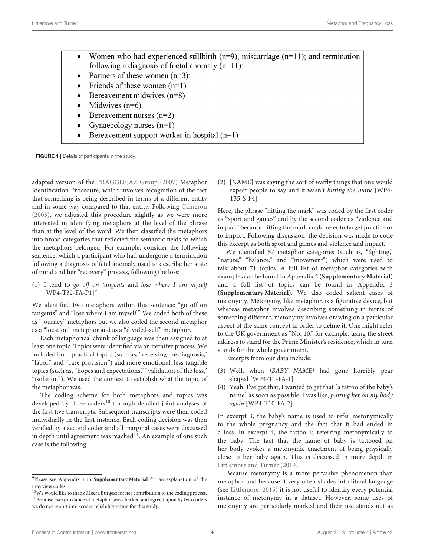- Women who had experienced still birth  $(n=9)$ , miscarriage  $(n=11)$ ; and termination  $\bullet$ following a diagnosis of foetal anomaly  $(n=11)$ ;
	- Partners of these women  $(n=3)$ ;
	- Friends of these women  $(n=1)$
	- Bereavement midwives  $(n=8)$
	- Midwives  $(n=6)$
	- Bereavement nurses  $(n=2)$
	- Gynaecology nurses  $(n=1)$
	- Bereavement support worker in hospital  $(n=1)$

<span id="page-4-0"></span>FIGURE 1 | Details of participants in the study.

adapted version of the [PRAGGLEJAZ Group \(2007\)](#page-17-19) Metaphor Identification Procedure, which involves recognition of the fact that something is being described in terms of a different entity and in some way compared to that entity. Following [Cameron](#page-17-9) [\(2003\)](#page-17-9), we adjusted this procedure slightly as we were more interested in identifying metaphors at the level of the phrase than at the level of the word. We then classified the metaphors into broad categories that reflected the semantic fields to which the metaphors belonged. For example, consider the following sentence, which a participant who had undergone a termination following a diagnosis of fetal anomaly used to describe her state of mind and her "recovery" process, following the loss:

(1) I tend to go off on tangents and lose where I am myself [WP4-T32-FA-P1][9](#page-4-1)

We identified two metaphors within this sentence: "go off on tangents" and "lose where I am myself." We coded both of these as "journey" metaphors but we also coded the second metaphor as a "location" metaphor and as a "divided-self" metaphor.

Each metaphorical chunk of language was then assigned to at least one topic. Topics were identified via an iterative process. We included both practical topics (such as, "receiving the diagnosis," "labor," and "care provision") and more emotional, less tangible topics (such as, "hopes and expectations," "validation of the loss," "isolation"). We used the context to establish what the topic of the metaphor was.

The coding scheme for both metaphors and topics was developed by three  $\text{coders}^{10}$  $\text{coders}^{10}$  $\text{coders}^{10}$  through detailed joint analyses of the first five transcripts. Subsequent transcripts were then coded individually in the first instance. Each coding decision was then verified by a second coder and all marginal cases were discussed in depth until agreement was reached<sup>[11](#page-4-3)</sup>. An example of one such case is the following:

(2) [NAME] was saying the sort of waffly things that one would expect people to say and it wasn't hitting the mark [WP4- T35-S-F4]

Here, the phrase "hitting the mark" was coded by the first coder as "sport and games" and by the second coder as "violence and impact" because hitting the mark could refer to target practice or to impact. Following discussion, the decision was made to code this excerpt as both sport and games and violence and impact.

We identified 67 metaphor categories (such as, "fighting," "nature," "balance," and "movement") which were used to talk about 71 topics. A full list of metaphor categories with examples can be found in Appendix 2 (**[Supplementary Material](#page-17-18)**) and a full list of topics can be found in Appendix 3 (**[Supplementary Material](#page-17-18)**). We also coded salient cases of metonymy. Metonymy, like metaphor, is a figurative device, but whereas metaphor involves describing something in terms of something different, metonymy involves drawing on a particular aspect of the same concept in order to define it. One might refer to the UK government as "No. 10," for example, using the street address to stand for the Prime Minister's residence, which in turn stands for the whole government.

Excerpts from our data include:

- (3) Well, when [BABY NAME] had gone horribly pear shaped [WP4-T1-FA-1]
- (4) Yeah, I've got that, I wanted to get that [a tattoo of the baby's name] as soon as possible. I was like, putting her on my body again [WP4-T10-FA-2]

In excerpt 3, the baby's name is used to refer metonymically to the whole pregnancy and the fact that it had ended in a loss. In excerpt 4, the tattoo is referring metonymically to the baby. The fact that the name of baby is tattooed on her body evokes a metonymic enactment of being physically close to her baby again. This is discussed in more depth in [Littlemore and Turner \(2019\)](#page-17-0).

Because metonymy is a more pervasive phenomenon than metaphor and because it very often shades into literal language (see [Littlemore, 2015\)](#page-17-20) it is not useful to identify every potential instance of metonymy in a dataset. However, some uses of metonymy are particularly marked and their use stands out as

<span id="page-4-1"></span><sup>9</sup>Please see Appendix 1 in **[Supplementary Material](#page-17-18)** for an explanation of the interview codes.

<span id="page-4-3"></span><span id="page-4-2"></span> $^{10}\mathrm{We}$  would like to thank Meera Burgess for her contribution to the coding process. <sup>11</sup> Because every instance of metaphor was checked and agreed upon by two coders we do not report inter-coder reliability rating for this study.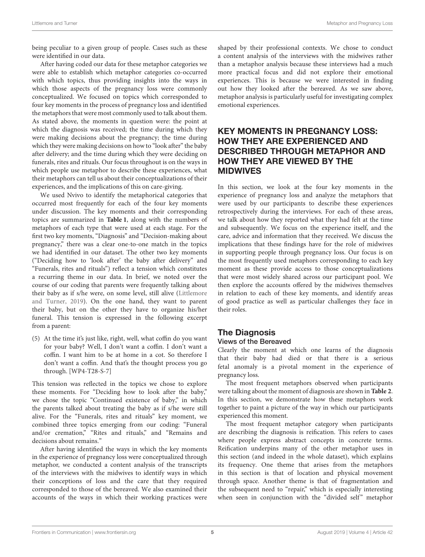being peculiar to a given group of people. Cases such as these were identified in our data.

After having coded our data for these metaphor categories we were able to establish which metaphor categories co-occurred with which topics, thus providing insights into the ways in which those aspects of the pregnancy loss were commonly conceptualized. We focused on topics which corresponded to four key moments in the process of pregnancy loss and identified the metaphors that were most commonly used to talk about them. As stated above, the moments in question were: the point at which the diagnosis was received; the time during which they were making decisions about the pregnancy; the time during which they were making decisions on how to "look after" the baby after delivery; and the time during which they were deciding on funerals, rites and rituals. Our focus throughout is on the ways in which people use metaphor to describe these experiences, what their metaphors can tell us about their conceptualizations of their experiences, and the implications of this on care-giving.

We used Nvivo to identify the metaphorical categories that occurred most frequently for each of the four key moments under discussion. The key moments and their corresponding topics are summarized in **[Table 1](#page-6-0)**, along with the numbers of metaphors of each type that were used at each stage. For the first two key moments, "Diagnosis" and "Decision-making about pregnancy," there was a clear one-to-one match in the topics we had identified in our dataset. The other two key moments ("Deciding how to 'look after' the baby after delivery" and "Funerals, rites and rituals") reflect a tension which constitutes a recurring theme in our data. In brief, we noted over the course of our coding that parents were frequently talking about their baby as if s/he were, on some level, still alive (Littlemore and Turner, [2019\)](#page-17-0). On the one hand, they want to parent their baby, but on the other they have to organize his/her funeral. This tension is expressed in the following excerpt from a parent:

(5) At the time it's just like, right, well, what coffin do you want for your baby? Well, I don't want a coffin. I don't want a coffin. I want him to be at home in a cot. So therefore I don't want a coffin. And that's the thought process you go through. [WP4-T28-S-7]

This tension was reflected in the topics we chose to explore these moments. For "Deciding how to look after the baby," we chose the topic "Continued existence of baby," in which the parents talked about treating the baby as if s/he were still alive. For the "Funerals, rites and rituals" key moment, we combined three topics emerging from our coding: "Funeral and/or cremation," "Rites and rituals," and "Remains and decisions about remains."

After having identified the ways in which the key moments in the experience of pregnancy loss were conceptualized through metaphor, we conducted a content analysis of the transcripts of the interviews with the midwives to identify ways in which their conceptions of loss and the care that they required corresponded to those of the bereaved. We also examined their accounts of the ways in which their working practices were shaped by their professional contexts. We chose to conduct a content analysis of the interviews with the midwives rather than a metaphor analysis because these interviews had a much more practical focus and did not explore their emotional experiences. This is because we were interested in finding out how they looked after the bereaved. As we saw above, metaphor analysis is particularly useful for investigating complex emotional experiences.

# KEY MOMENTS IN PREGNANCY LOSS: HOW THEY ARE EXPERIENCED AND DESCRIBED THROUGH METAPHOR AND HOW THEY ARE VIEWED BY THE MIDWIVES

In this section, we look at the four key moments in the experience of pregnancy loss and analyze the metaphors that were used by our participants to describe these experiences retrospectively during the interviews. For each of these areas, we talk about how they reported what they had felt at the time and subsequently. We focus on the experience itself, and the care, advice and information that they received. We discuss the implications that these findings have for the role of midwives in supporting people through pregnancy loss. Our focus is on the most frequently used metaphors corresponding to each key moment as these provide access to those conceptualizations that were most widely shared across our participant pool. We then explore the accounts offered by the midwives themselves in relation to each of these key moments, and identify areas of good practice as well as particular challenges they face in their roles.

## The Diagnosis Views of the Bereaved

Clearly the moment at which one learns of the diagnosis that their baby had died or that there is a serious fetal anomaly is a pivotal moment in the experience of pregnancy loss.

The most frequent metaphors observed when participants were talking about the moment of diagnosis are shown in **[Table 2](#page-7-0)**. In this section, we demonstrate how these metaphors work together to paint a picture of the way in which our participants experienced this moment.

The most frequent metaphor category when participants are describing the diagnosis is reification. This refers to cases where people express abstract concepts in concrete terms. Reification underpins many of the other metaphor uses in this section (and indeed in the whole dataset), which explains its frequency. One theme that arises from the metaphors in this section is that of location and physical movement through space. Another theme is that of fragmentation and the subsequent need to "repair," which is especially interesting when seen in conjunction with the "divided self" metaphor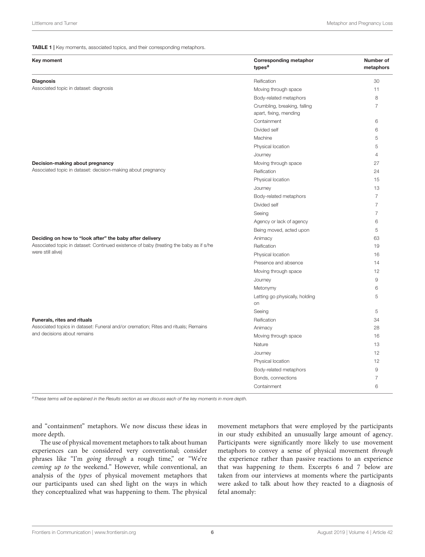<span id="page-6-0"></span>TABLE 1 | Key moments, associated topics, and their corresponding metaphors.

| Key moment                                                                             | <b>Corresponding metaphor</b><br>types <sup>a</sup>    | Number of<br>metaphors |
|----------------------------------------------------------------------------------------|--------------------------------------------------------|------------------------|
| <b>Diagnosis</b>                                                                       | Reification                                            | 30                     |
| Associated topic in dataset: diagnosis                                                 | Moving through space                                   | 11                     |
|                                                                                        | Body-related metaphors                                 | 8                      |
|                                                                                        | Crumbling, breaking, falling<br>apart, fixing, mending | $\overline{7}$         |
|                                                                                        | Containment                                            | 6                      |
|                                                                                        | Divided self                                           | 6                      |
|                                                                                        | Machine                                                | 5                      |
|                                                                                        | Physical location                                      | 5                      |
|                                                                                        | Journey                                                | $\overline{4}$         |
| Decision-making about pregnancy                                                        | Moving through space                                   | 27                     |
| Associated topic in dataset: decision-making about pregnancy                           | Reification                                            | 24                     |
|                                                                                        | Physical location                                      | 15                     |
|                                                                                        | Journey                                                | 13                     |
|                                                                                        | Body-related metaphors                                 | $\overline{7}$         |
|                                                                                        | Divided self                                           | $\overline{7}$         |
|                                                                                        | Seeing                                                 | $\overline{7}$         |
|                                                                                        | Agency or lack of agency                               | 6                      |
|                                                                                        | Being moved, acted upon                                | 5                      |
| Deciding on how to "look after" the baby after delivery                                | Animacy                                                | 63                     |
| Associated topic in dataset: Continued existence of baby (treating the baby as if s/he | Reification                                            | 19                     |
| were still alive)                                                                      | Physical location                                      | 16                     |
|                                                                                        | Presence and absence                                   | 14                     |
|                                                                                        | Moving through space                                   | 12                     |
|                                                                                        | Journey                                                | 9                      |
|                                                                                        | Metonymy                                               | 6                      |
|                                                                                        | Letting go physically, holding<br>on                   | 5                      |
|                                                                                        | Seeing                                                 | 5                      |
| Funerals, rites and rituals                                                            | Reification                                            | 34                     |
| Associated topics in dataset: Funeral and/or cremation; Rites and rituals; Remains     | Animacy                                                | 28                     |
| and decisions about remains                                                            | Moving through space                                   | 16                     |
|                                                                                        | Nature                                                 | 13                     |
|                                                                                        | Journey                                                | 12                     |
|                                                                                        | Physical location                                      | 12                     |
|                                                                                        | Body-related metaphors                                 | 9                      |
|                                                                                        | Bonds, connections                                     | $\overline{7}$         |
|                                                                                        | Containment                                            | 6                      |

aThese terms will be explained in the Results section as we discuss each of the key moments in more depth.

and "containment" metaphors. We now discuss these ideas in more depth.

The use of physical movement metaphors to talk about human experiences can be considered very conventional; consider phrases like "I'm going through a rough time," or "We're coming up to the weekend." However, while conventional, an analysis of the types of physical movement metaphors that our participants used can shed light on the ways in which they conceptualized what was happening to them. The physical movement metaphors that were employed by the participants in our study exhibited an unusually large amount of agency. Participants were significantly more likely to use movement metaphors to convey a sense of physical movement through the experience rather than passive reactions to an experience that was happening to them. Excerpts 6 and 7 below are taken from our interviews at moments where the participants were asked to talk about how they reacted to a diagnosis of fetal anomaly: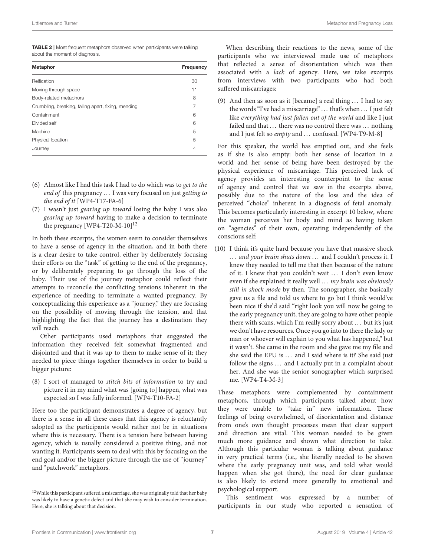<span id="page-7-0"></span>

| <b>TABLE 2</b>   Most frequent metaphors observed when participants were talking |  |  |
|----------------------------------------------------------------------------------|--|--|
| about the moment of diagnosis.                                                   |  |  |

| Metaphor                                            | Frequency |
|-----------------------------------------------------|-----------|
| Reification                                         | 30        |
| Moving through space                                | 11        |
| Body-related metaphors                              | 8         |
| Crumbling, breaking, falling apart, fixing, mending | 7         |
| Containment                                         | 6         |
| Divided self                                        | 6         |
| Machine                                             | 5         |
| Physical location                                   | 5         |
| Journey                                             | 4         |

- (6) Almost like I had this task I had to do which was to get to the end of this pregnancy ... I was very focused on just getting to the end of it [WP4-T17-FA-6]
- (7) I wasn't just gearing up toward losing the baby I was also gearing up toward having to make a decision to terminate the pregnancy  $[WP4-T20-M-10]^{12}$  $[WP4-T20-M-10]^{12}$  $[WP4-T20-M-10]^{12}$

In both these excerpts, the women seem to consider themselves to have a sense of agency in the situation, and in both there is a clear desire to take control, either by deliberately focusing their efforts on the "task" of getting to the end of the pregnancy, or by deliberately preparing to go through the loss of the baby. Their use of the journey metaphor could reflect their attempts to reconcile the conflicting tensions inherent in the experience of needing to terminate a wanted pregnancy. By conceptualizing this experience as a "journey," they are focusing on the possibility of moving through the tension, and that highlighting the fact that the journey has a destination they will reach.

Other participants used metaphors that suggested the information they received felt somewhat fragmented and disjointed and that it was up to them to make sense of it; they needed to piece things together themselves in order to build a bigger picture:

(8) I sort of managed to stitch bits of information to try and picture it in my mind what was [going to] happen, what was expected so I was fully informed. [WP4-T10-FA-2]

Here too the participant demonstrates a degree of agency, but there is a sense in all these cases that this agency is reluctantly adopted as the participants would rather not be in situations where this is necessary. There is a tension here between having agency, which is usually considered a positive thing, and not wanting it. Participants seem to deal with this by focusing on the end goal and/or the bigger picture through the use of "journey" and "patchwork" metaphors.

When describing their reactions to the news, some of the participants who we interviewed made use of metaphors that reflected a sense of disorientation which was then associated with a lack of agency. Here, we take excerpts from interviews with two participants who had both suffered miscarriages:

(9) And then as soon as it [became] a real thing . . . I had to say the words "I've had a miscarriage" . . . that's when . . . I just felt like everything had just fallen out of the world and like I just failed and that ... there was no control there was ... nothing and I just felt so empty and ... confused. [WP4-T9-M-8]

For this speaker, the world has emptied out, and she feels as if she is also empty: both her sense of location in a world and her sense of being have been destroyed by the physical experience of miscarriage. This perceived lack of agency provides an interesting counterpoint to the sense of agency and control that we saw in the excerpts above, possibly due to the nature of the loss and the idea of perceived "choice" inherent in a diagnosis of fetal anomaly. This becomes particularly interesting in excerpt 10 below, where the woman perceives her body and mind as having taken on "agencies" of their own, operating independently of the conscious self:

(10) I think it's quite hard because you have that massive shock ... and your brain shuts down ... and I couldn't process it. I knew they needed to tell me that then because of the nature of it. I knew that you couldn't wait . . . I don't even know even if she explained it really well ... my brain was obviously still in shock mode by then. The sonographer, she basically gave us a file and told us where to go but I think would've been nice if she'd said "right look you will now be going to the early pregnancy unit, they are going to have other people there with scans, which I'm really sorry about ... but it's just we don't have resources. Once you go into to there the lady or man or whoever will explain to you what has happened," but it wasn't. She came in the room and she gave me my file and she said the EPU is ... and I said where is it? She said just follow the signs ... and I actually put in a complaint about her. And she was the senior sonographer which surprised me. [WP4-T4-M-3]

These metaphors were complemented by containment metaphors, through which participants talked about how they were unable to "take in" new information. These feelings of being overwhelmed, of disorientation and distance from one's own thought processes mean that clear support and direction are vital. This woman needed to be given much more guidance and shown what direction to take. Although this particular woman is talking about guidance in very practical terms (i.e., she literally needed to be shown where the early pregnancy unit was, and told what would happen when she got there), the need for clear guidance is also likely to extend more generally to emotional and psychological support.

This sentiment was expressed by a number of participants in our study who reported a sensation of

<span id="page-7-1"></span> $^{12}$  While this participant suffered a miscarriage, she was originally told that her baby was likely to have a genetic defect and that she may wish to consider termination. Here, she is talking about that decision.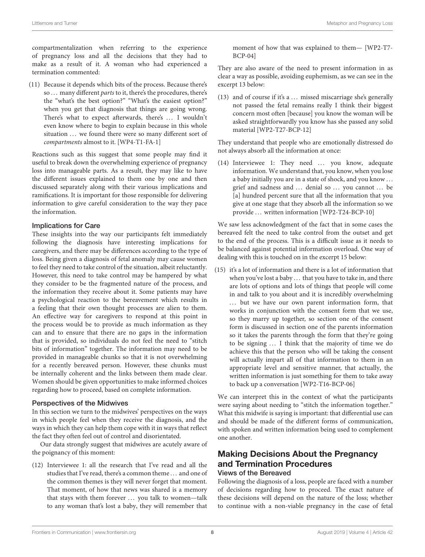compartmentalization when referring to the experience of pregnancy loss and all the decisions that they had to make as a result of it. A woman who had experienced a termination commented:

(11) Because it depends which bits of the process. Because there's so ... many different *parts* to it, there's the procedures, there's the "what's the best option?" "What's the easiest option?" when you get that diagnosis that things are going wrong. There's what to expect afterwards, there's ... I wouldn't even know where to begin to explain because in this whole situation ... we found there were so many different sort of compartments almost to it. [WP4-T1-FA-1]

Reactions such as this suggest that some people may find it useful to break down the overwhelming experience of pregnancy loss into manageable parts. As a result, they may like to have the different issues explained to them one by one and then discussed separately along with their various implications and ramifications. It is important for those responsible for delivering information to give careful consideration to the way they pace the information.

#### Implications for Care

These insights into the way our participants felt immediately following the diagnosis have interesting implications for caregivers, and there may be differences according to the type of loss. Being given a diagnosis of fetal anomaly may cause women to feel they need to take control of the situation, albeit reluctantly. However, this need to take control may be hampered by what they consider to be the fragmented nature of the process, and the information they receive about it. Some patients may have a psychological reaction to the bereavement which results in a feeling that their own thought processes are alien to them. An effective way for caregivers to respond at this point in the process would be to provide as much information as they can and to ensure that there are no gaps in the information that is provided, so individuals do not feel the need to "stitch bits of information" together. The information may need to be provided in manageable chunks so that it is not overwhelming for a recently bereaved person. However, these chunks must be internally coherent and the links between them made clear. Women should be given opportunities to make informed choices regarding how to proceed, based on complete information.

#### Perspectives of the Midwives

In this section we turn to the midwives' perspectives on the ways in which people feel when they receive the diagnosis, and the ways in which they can help them cope with it in ways that reflect the fact they often feel out of control and disorientated.

Our data strongly suggest that midwives are acutely aware of the poignancy of this moment:

(12) Interviewee 1: all the research that I've read and all the studies that I've read, there's a common theme . . . and one of the common themes is they will never forget that moment. That moment, of how that news was shared is a memory that stays with them forever ... you talk to women-talk to any woman that's lost a baby, they will remember that moment of how that was explained to them— [WP2-T7- BCP-04]

They are also aware of the need to present information in as clear a way as possible, avoiding euphemism, as we can see in the excerpt 13 below:

(13) and of course if it's a ... missed miscarriage she's generally not passed the fetal remains really I think their biggest concern most often [because] you know the woman will be asked straightforwardly you know has she passed any solid material [WP2-T27-BCP-12]

They understand that people who are emotionally distressed do not always absorb all the information at once:

(14) Interviewee 1: They need ... you know, adequate information. We understand that, you know, when you lose a baby initially you are in a state of shock, and you know . . . grief and sadness and ... denial so ... you cannot ... be [a] hundred percent sure that all the information that you give at one stage that they absorb all the information so we provide ... written information [WP2-T24-BCP-10]

We saw less acknowledgment of the fact that in some cases the bereaved felt the need to take control from the outset and get to the end of the process. This is a difficult issue as it needs to be balanced against potential information overload. One way of dealing with this is touched on in the excerpt 15 below:

(15) it's a lot of information and there is a lot of information that when you've lost a baby . . . that you have to take in, and there are lots of options and lots of things that people will come in and talk to you about and it is incredibly overwhelming ... but we have our own parent information form, that works in conjunction with the consent form that we use, so they marry up together, so section one of the consent form is discussed in section one of the parents information so it takes the parents through the form that they're going to be signing ... I think that the majority of time we do achieve this that the person who will be taking the consent will actually impart all of that information to them in an appropriate level and sensitive manner, that actually, the written information is just something for them to take away to back up a conversation [WP2-T16-BCP-06]

We can interpret this in the context of what the participants were saying about needing to "stitch the information together." What this midwife is saying is important: that differential use can and should be made of the different forms of communication, with spoken and written information being used to complement one another.

## Making Decisions About the Pregnancy and Termination Procedures Views of the Bereaved

Following the diagnosis of a loss, people are faced with a number of decisions regarding how to proceed. The exact nature of these decisions will depend on the nature of the loss; whether to continue with a non-viable pregnancy in the case of fetal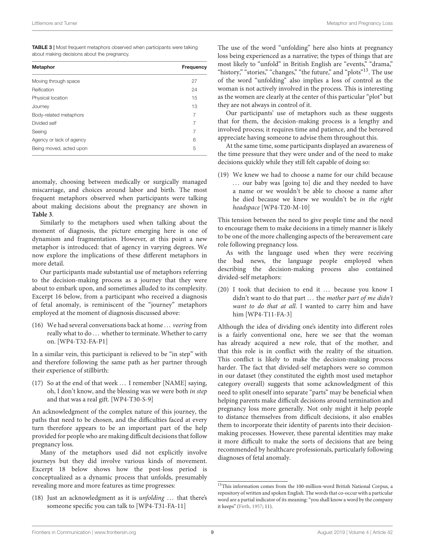<span id="page-9-0"></span>

| <b>TABLE 3</b>   Most frequent metaphors observed when participants were talking |  |  |
|----------------------------------------------------------------------------------|--|--|
| about making decisions about the pregnancy.                                      |  |  |

| Metaphor                 | Frequency |
|--------------------------|-----------|
| Moving through space     | 27        |
| Reification              | 24        |
| Physical location        | 15        |
| Journey                  | 13        |
| Body-related metaphors   | 7         |
| Divided self             | 7         |
| Seeing                   | 7         |
| Agency or lack of agency | 6         |
| Being moved, acted upon  | 5         |
|                          |           |

anomaly, choosing between medically or surgically managed miscarriage, and choices around labor and birth. The most frequent metaphors observed when participants were talking about making decisions about the pregnancy are shown in **[Table 3](#page-9-0)**.

Similarly to the metaphors used when talking about the moment of diagnosis, the picture emerging here is one of dynamism and fragmentation. However, at this point a new metaphor is introduced: that of agency in varying degrees. We now explore the implications of these different metaphors in more detail.

Our participants made substantial use of metaphors referring to the decision-making process as a journey that they were about to embark upon, and sometimes alluded to its complexity. Excerpt 16 below, from a participant who received a diagnosis of fetal anomaly, is reminiscent of the "journey" metaphors employed at the moment of diagnosis discussed above:

(16) We had several conversations back at home . . . veering from really what to do ... whether to terminate. Whether to carry on. [WP4-T32-FA-P1]

In a similar vein, this participant is relieved to be "in step" with and therefore following the same path as her partner through their experience of stillbirth:

(17) So at the end of that week . . . I remember [NAME] saying, oh, I don't know, and the blessing was we were both in step and that was a real gift. [WP4-T30-S-9]

An acknowledgment of the complex nature of this journey, the paths that need to be chosen, and the difficulties faced at every turn therefore appears to be an important part of the help provided for people who are making difficult decisions that follow pregnancy loss.

Many of the metaphors used did not explicitly involve journeys but they did involve various kinds of movement. Excerpt 18 below shows how the post-loss period is conceptualized as a dynamic process that unfolds, presumably revealing more and more features as time progresses:

(18) Just an acknowledgment as it is *unfolding* ... that there's someone specific you can talk to [WP4-T31-FA-11]

The use of the word "unfolding" here also hints at pregnancy loss being experienced as a narrative; the types of things that are most likely to "unfold" in British English are "events," "drama," "history," "stories," "changes," "the future," and "plots"<sup>[13](#page-9-1)</sup>. The use of the word "unfolding" also implies a loss of control as the woman is not actively involved in the process. This is interesting as the women are clearly at the center of this particular "plot" but they are not always in control of it.

Our participants' use of metaphors such as these suggests that for them, the decision-making process is a lengthy and involved process; it requires time and patience, and the bereaved appreciate having someone to advise them throughout this.

At the same time, some participants displayed an awareness of the time pressure that they were under and of the need to make decisions quickly while they still felt capable of doing so:

(19) We knew we had to choose a name for our child because ... our baby was [going to] die and they needed to have a name or we wouldn't be able to choose a name after he died because we knew we wouldn't be in the right headspace [WP4-T20-M-10]

This tension between the need to give people time and the need to encourage them to make decisions in a timely manner is likely to be one of the more challenging aspects of the bereavement care role following pregnancy loss.

As with the language used when they were receiving the bad news, the language people employed when describing the decision-making process also contained divided-self metaphors:

(20) I took that decision to end it  $\ldots$  because you know I didn't want to do that part ... the mother part of me didn't want to do that at all. I wanted to carry him and have him [WP4-T11-FA-3]

Although the idea of dividing one's identity into different roles is a fairly conventional one, here we see that the woman has already acquired a new role, that of the mother, and that this role is in conflict with the reality of the situation. This conflict is likely to make the decision-making process harder. The fact that divided-self metaphors were so common in our dataset (they constituted the eighth most used metaphor category overall) suggests that some acknowledgment of this need to split oneself into separate "parts" may be beneficial when helping parents make difficult decisions around termination and pregnancy loss more generally. Not only might it help people to distance themselves from difficult decisions, it also enables them to incorporate their identity of parents into their decisionmaking processes. However, these parental identities may make it more difficult to make the sorts of decisions that are being recommended by healthcare professionals, particularly following diagnoses of fetal anomaly.

<span id="page-9-1"></span><sup>13</sup>This information comes from the 100-million-word British National Corpus, a repository of written and spoken English. The words that co-occur with a particular word are a partial indicator of its meaning: "you shall know a word by the company it keeps" [\(Firth, 1957;](#page-17-21) 11).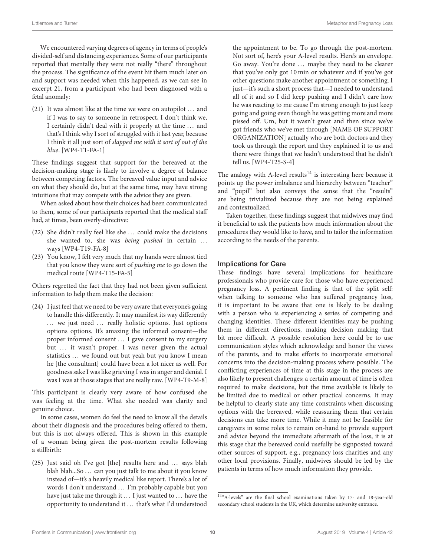We encountered varying degrees of agency in terms of people's divided-self and distancing experiences. Some of our participants reported that mentally they were not really "there" throughout the process. The significance of the event hit them much later on and support was needed when this happened, as we can see in excerpt 21, from a participant who had been diagnosed with a fetal anomaly:

(21) It was almost like at the time we were on autopilot  $\dots$  and if I was to say to someone in retrospect, I don't think we, I certainly didn't deal with it properly at the time ... and that's I think why I sort of struggled with it last year, because I think it all just sort of slapped me with it sort of out of the blue. [WP4-T1-FA-1]

These findings suggest that support for the bereaved at the decision-making stage is likely to involve a degree of balance between competing factors. The bereaved value input and advice on what they should do, but at the same time, may have strong intuitions that may compete with the advice they are given.

When asked about how their choices had been communicated to them, some of our participants reported that the medical staff had, at times, been overly-directive:

- (22) She didn't really feel like she . . . could make the decisions she wanted to, she was being pushed in certain ... ways [WP4-T19-FA-8]
- (23) You know, I felt very much that my hands were almost tied that you know they were sort of pushing me to go down the medical route [WP4-T15-FA-5]

Others regretted the fact that they had not been given sufficient information to help them make the decision:

(24) I just feel that we need to be very aware that everyone's going to handle this differently. It may manifest its way differently ... we just need ... really holistic options. Just options options options. It's amazing the informed consent—the proper informed consent . . . I gave consent to my surgery but ... it wasn't proper. I was never given the actual statistics ... we found out but yeah but you know I mean he [the consultant] could have been a lot nicer as well. For goodness sake I was like grieving I was in anger and denial. I was I was at those stages that are really raw. [WP4-T9-M-8]

This participant is clearly very aware of how confused she was feeling at the time. What she needed was clarity and genuine choice.

In some cases, women do feel the need to know all the details about their diagnosis and the procedures being offered to them, but this is not always offered. This is shown in this example of a woman being given the post-mortem results following a stillbirth:

(25) Just said oh I've got [the] results here and ... says blah blah blah...So ... can you just talk to me about it you know instead of—it's a heavily medical like report. There's a lot of words I don't understand ... I'm probably capable but you have just take me through it . . . I just wanted to . . . have the opportunity to understand it . . . that's what I'd understood the appointment to be. To go through the post-mortem. Not sort of, here's your A-level results. Here's an envelope. Go away. You're done ... maybe they need to be clearer that you've only got 10 min or whatever and if you've got other questions make another appointment or something. I just—it's such a short process that—I needed to understand all of it and so I did keep pushing and I didn't care how he was reacting to me cause I'm strong enough to just keep going and going even though he was getting more and more pissed off. Um, but it wasn't great and then since we've got friends who we've met through [NAME OF SUPPORT ORGANIZATION] actually who are both doctors and they took us through the report and they explained it to us and there were things that we hadn't understood that he didn't tell us. [WP4-T25-S-4]

The analogy with A-level results<sup>[14](#page-10-0)</sup> is interesting here because it points up the power imbalance and hierarchy between "teacher" and "pupil" but also conveys the sense that the "results" are being trivialized because they are not being explained and contextualized.

Taken together, these findings suggest that midwives may find it beneficial to ask the patients how much information about the procedures they would like to have, and to tailor the information according to the needs of the parents.

#### Implications for Care

These findings have several implications for healthcare professionals who provide care for those who have experienced pregnancy loss. A pertinent finding is that of the split self: when talking to someone who has suffered pregnancy loss, it is important to be aware that one is likely to be dealing with a person who is experiencing a series of competing and changing identities. These different identities may be pushing them in different directions, making decision making that bit more difficult. A possible resolution here could be to use communication styles which acknowledge and honor the views of the parents, and to make efforts to incorporate emotional concerns into the decision-making process where possible. The conflicting experiences of time at this stage in the process are also likely to present challenges; a certain amount of time is often required to make decisions, but the time available is likely to be limited due to medical or other practical concerns. It may be helpful to clearly state any time constraints when discussing options with the bereaved, while reassuring them that certain decisions can take more time. While it may not be feasible for caregivers in some roles to remain on-hand to provide support and advice beyond the immediate aftermath of the loss, it is at this stage that the bereaved could usefully be signposted toward other sources of support, e.g., pregnancy loss charities and any other local provisions. Finally, midwives should be led by the patients in terms of how much information they provide.

<span id="page-10-0"></span><sup>14</sup>"A-levels" are the final school examinations taken by 17- and 18-year-old secondary school students in the UK, which determine university entrance.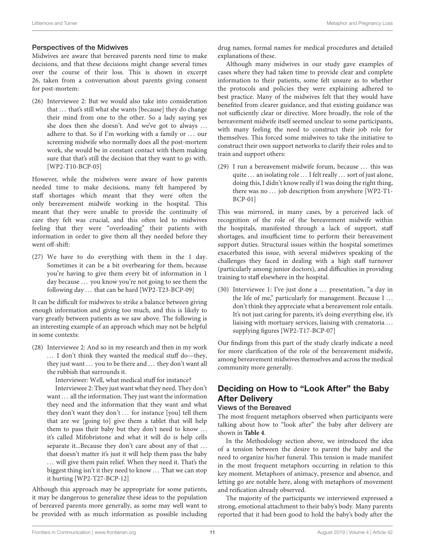#### Perspectives of the Midwives

Midwives are aware that bereaved parents need time to make decisions, and that these decisions might change several times over the course of their loss. This is shown in excerpt 26, taken from a conversation about parents giving consent for post-mortem:

(26) Interviewee 2: But we would also take into consideration that ... that's still what she wants [because] they do change their mind from one to the other. So a lady saying yes she does then she doesn't. And we've got to always ... adhere to that. So if I'm working with a family or ... our screening midwife who normally does all the post-mortem work, she would be in constant contact with them making sure that that's still the decision that they want to go with. [WP2-T10-BCP-05]

However, while the midwives were aware of how parents needed time to make decisions, many felt hampered by staff shortages which meant that they were often the only bereavement midwife working in the hospital. This meant that they were unable to provide the continuity of care they felt was crucial, and this often led to midwives feeling that they were "overloading" their patients with information in order to give them all they needed before they went off-shift:

(27) We have to do everything with them in the 1 day. Sometimes it can be a bit overbearing for them, because you're having to give them every bit of information in 1 day because ... you know you're not going to see them the following day  $\dots$  that can be hard [WP2-T23-BCP-09]

It can be difficult for midwives to strike a balance between giving enough information and giving too much, and this is likely to vary greatly between patients as we saw above. The following is an interesting example of an approach which may not be helpful in some contexts:

(28) Interviewee 2: And so in my research and then in my work . . . I don't think they wanted the medical stuff do—they, they just want . . . you to be there and . . . they don't want all the rubbish that surrounds it.

Interviewer: Well, what medical stuff for instance?

Interviewee 2: They just want what they need. They don't want ... all the information. They just want the information they need and the information that they want and what they don't want they don't ... for instance [you] tell them that are we [going to] give them a tablet that will help them to pass their baby but they don't need to know ... it's called Mifobristone and what it will do is help cells separate it...Because they don't care about any of that . . . that doesn't matter it's just it will help them pass the baby ... will give them pain relief. When they need it. That's the biggest thing isn't it they need to know . . . That we can stop it hurting [WP2-T27-BCP-12]

Although this approach may be appropriate for some patients, it may be dangerous to generalize these ideas to the population of bereaved parents more generally, as some may well want to be provided with as much information as possible including drug names, formal names for medical procedures and detailed explanations of these.

Although many midwives in our study gave examples of cases where they had taken time to provide clear and complete information to their patients, some felt unsure as to whether the protocols and policies they were explaining adhered to best practice. Many of the midwives felt that they would have benefited from clearer guidance, and that existing guidance was not sufficiently clear or directive. More broadly, the role of the bereavement midwife itself seemed unclear to some participants, with many feeling the need to construct their job role for themselves. This forced some midwives to take the initiative to construct their own support networks to clarify their roles and to train and support others:

(29) I run a bereavement midwife forum, because ... this was quite ... an isolating role ... I felt really ... sort of just alone, doing this, I didn't know really if I was doing the right thing, there was no ... job description from anywhere [WP2-T1-BCP-01]

This was mirrored, in many cases, by a perceived lack of recognition of the role of the bereavement midwife within the hospitals, manifested through a lack of support, staff shortages, and insufficient time to perform their bereavement support duties. Structural issues within the hospital sometimes exacerbated this issue, with several midwives speaking of the challenges they faced in dealing with a high staff turnover (particularly among junior doctors), and difficulties in providing training to staff elsewhere in the hospital.

(30) Interviewee 1: I've just done a ... presentation, "a day in the life of me," particularly for management. Because I ... don't think they appreciate what a bereavement role entails. It's not just caring for parents, it's doing everything else, it's liaising with mortuary services, liaising with crematoria . . . supplying figures [WP2-T17-BCP-07]

Our findings from this part of the study clearly indicate a need for more clarification of the role of the bereavement midwife, among bereavement midwives themselves and across the medical community more generally.

# Deciding on How to "Look After" the Baby After Delivery

## Views of the Bereaved

The most frequent metaphors observed when participants were talking about how to "look after" the baby after delivery are shown in **[Table 4](#page-12-0)**.

In the Methodology section above, we introduced the idea of a tension between the desire to parent the baby and the need to organize his/her funeral. This tension is made manifest in the most frequent metaphors occurring in relation to this key moment. Metaphors of animacy, presence and absence, and letting go are notable here, along with metaphors of movement and reification already observed.

The majority of the participants we interviewed expressed a strong, emotional attachment to their baby's body. Many parents reported that it had been good to hold the baby's body after the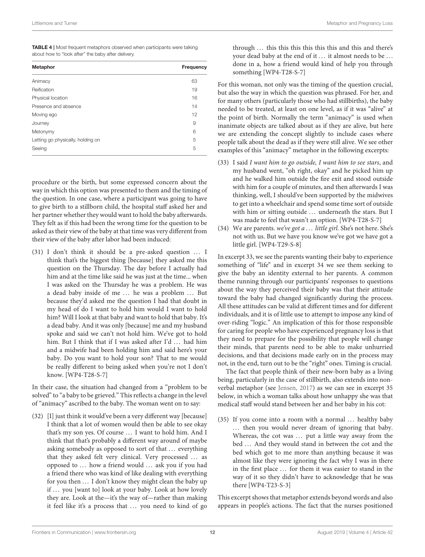<span id="page-12-0"></span>

| <b>TABLE 4</b>   Most frequent metaphors observed when participants were talking |
|----------------------------------------------------------------------------------|
| about how to "look after" the baby after delivery.                               |

| Metaphor                          | Frequency |
|-----------------------------------|-----------|
| Animacy                           | 63        |
| Reification                       | 19        |
| Physical location                 | 16        |
| Presence and absence              | 14        |
| Moving ego                        | 12        |
| Journey                           | 9         |
| Metonymy                          | 6         |
| Letting go physically, holding on | 5         |
| Seeing                            | 5         |
|                                   |           |

procedure or the birth, but some expressed concern about the way in which this option was presented to them and the timing of the question. In one case, where a participant was going to have to give birth to a stillborn child, the hospital staff asked her and her partner whether they would want to hold the baby afterwards. They felt as if this had been the wrong time for the question to be asked as their view of the baby at that time was very different from their view of the baby after labor had been induced:

(31) I don't think it should be a pre-asked question  $\ldots$  I think that's the biggest thing [because] they asked me this question on the Thursday. The day before I actually had him and at the time like said he was just at the time... when I was asked on the Thursday he was a problem. He was a dead baby inside of me ... he was a problem ... But because they'd asked me the question I had that doubt in my head of do I want to hold him would I want to hold him? Will I look at that baby and want to hold that baby. It's a dead baby. And it was only [because] me and my husband spoke and said we can't not hold him. We've got to hold him. But I think that if I was asked after I'd ... had him and a midwife had been holding him and said here's your baby. Do you want to hold your son? That to me would be really different to being asked when you're not I don't know. [WP4-T28-S-7]

In their case, the situation had changed from a "problem to be solved" to "a baby to be grieved." This reflects a change in the level of "animacy" ascribed to the baby. The woman went on to say:

(32) [I] just think it would've been a very different way [because] I think that a lot of women would then be able to see okay that's my son yes. Of course . . . I want to hold him. And I think that that's probably a different way around of maybe asking somebody as opposed to sort of that ... everything that they asked felt very clinical. Very processed ... as opposed to ... how a friend would ... ask you if you had a friend there who was kind of like dealing with everything for you then ... I don't know they might clean the baby up if ... you [want to] look at your baby. Look at how lovely they are. Look at the—it's the way of—rather than making it feel like it's a process that ... you need to kind of go through ... this this this this this and this and there's your dead baby at the end of it ... it almost needs to be ... done in a, how a friend would kind of help you through something [WP4-T28-S-7]

For this woman, not only was the timing of the question crucial, but also the way in which the question was phrased. For her, and for many others (particularly those who had stillbirths), the baby needed to be treated, at least on one level, as if it was "alive" at the point of birth. Normally the term "animacy" is used when inanimate objects are talked about as if they are alive, but here we are extending the concept slightly to include cases where people talk about the dead as if they were still alive. We see other examples of this "animacy" metaphor in the following excerpts:

- (33) I said I want him to go outside, I want him to see stars, and my husband went, "oh right, okay" and he picked him up and he walked him outside the fire exit and stood outside with him for a couple of minutes, and then afterwards I was thinking, well, I should've been supported by the midwives to get into a wheelchair and spend some time sort of outside with him or sitting outside ... underneath the stars. But I was made to feel that wasn't an option. [WP4-T28-S-7]
- (34) We are parents. we've got  $a \dots$  little girl. She's not here. She's not with us. But we have you know we've got we have got a little girl. [WP4-T29-S-8]

In excerpt 33, we see the parents wanting their baby to experience something of "life" and in excerpt 34 we see them seeking to give the baby an identity external to her parents. A common theme running through our participants' responses to questions about the way they perceived their baby was that their attitude toward the baby had changed significantly during the process. All these attitudes can be valid at different times and for different individuals, and it is of little use to attempt to impose any kind of over-riding "logic." An implication of this for those responsible for caring for people who have experienced pregnancy loss is that they need to prepare for the possibility that people will change their minds, that parents need to be able to make unhurried decisions, and that decisions made early on in the process may not, in the end, turn out to be the "right" ones. Timing is crucial.

The fact that people think of their new-born baby as a living being, particularly in the case of stillbirth, also extends into nonverbal metaphor (see [Jensen, 2017\)](#page-17-22) as we can see in excerpt 35 below, in which a woman talks about how unhappy she was that medical staff would stand between her and her baby in his cot:

(35) If you come into a room with a normal ... healthy baby ... then you would never dream of ignoring that baby. Whereas, the cot was ... put a little way away from the bed ... And they would stand in between the cot and the bed which got to me more than anything because it was almost like they were ignoring the fact why I was in there in the first place ... for them it was easier to stand in the way of it so they didn't have to acknowledge that he was there [WP4-T23-S-3]

This excerpt shows that metaphor extends beyond words and also appears in people's actions. The fact that the nurses positioned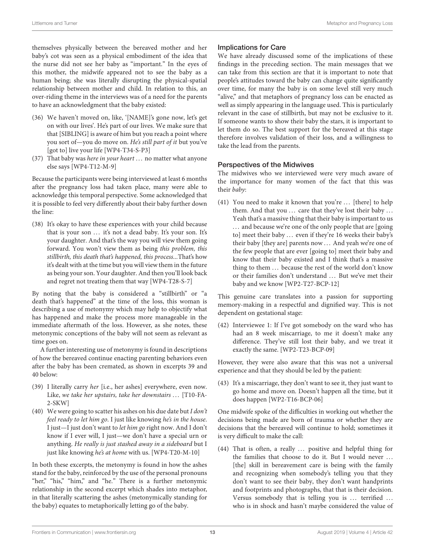themselves physically between the bereaved mother and her baby's cot was seen as a physical embodiment of the idea that the nurse did not see her baby as "important." In the eyes of this mother, the midwife appeared not to see the baby as a human being; she was literally disrupting the physical-spatial relationship between mother and child. In relation to this, an over-riding theme in the interviews was of a need for the parents to have an acknowledgment that the baby existed:

- (36) We haven't moved on, like, '[NAME]'s gone now, let's get on with our lives'. He's part of our lives. We make sure that that [SIBLING] is aware of him but you reach a point where you sort of—you do move on. He's still part of it but you've [got to] live your life [WP4-T34-S-P3]
- (37) That baby was here in your heart ... no matter what anyone else says [WP4-T12-M-9]

Because the participants were being interviewed at least 6 months after the pregnancy loss had taken place, many were able to acknowledge this temporal perspective. Some acknowledged that it is possible to feel very differently about their baby further down the line:

(38) It's okay to have these experiences with your child because that is your son ... it's not a dead baby. It's your son. It's your daughter. And that's the way you will view them going forward. You won't view them as being this problem, this stillbirth, this death that's happened, this process...That's how it's dealt with at the time but you will view them in the future as being your son. Your daughter. And then you'll look back and regret not treating them that way [WP4-T28-S-7]

By noting that the baby is considered a "stillbirth" or "a death that's happened" at the time of the loss, this woman is describing a use of metonymy which may help to objectify what has happened and make the process more manageable in the immediate aftermath of the loss. However, as she notes, these metonymic conceptions of the baby will not seem as relevant as time goes on.

A further interesting use of metonymy is found in descriptions of how the bereaved continue enacting parenting behaviors even after the baby has been cremated, as shown in excerpts 39 and 40 below:

- (39) I literally carry her [i.e., her ashes] everywhere, even now. Like, we take her upstairs, take her downstairs ... [T10-FA-2-SKW]
- (40) We were going to scatter his ashes on his due date but I don't feel ready to let him go. I just like knowing he's in the house. I just—I just don't want to let him go right now. And I don't know if I ever will, I just—we don't have a special urn or anything. He really is just stashed away in a sideboard but I just like knowing he's at home with us. [WP4-T20-M-10]

In both these excerpts, the metonymy is found in how the ashes stand for the baby, reinforced by the use of the personal pronouns "her," "his," "him," and "he." There is a further metonymic relationship in the second excerpt which shades into metaphor, in that literally scattering the ashes (metonymically standing for the baby) equates to metaphorically letting go of the baby.

### Implications for Care

We have already discussed some of the implications of these findings in the preceding section. The main messages that we can take from this section are that it is important to note that people's attitudes toward the baby can change quite significantly over time, for many the baby is on some level still very much "alive," and that metaphors of pregnancy loss can be enacted as well as simply appearing in the language used. This is particularly relevant in the case of stillbirth, but may not be exclusive to it. If someone wants to show their baby the stars, it is important to let them do so. The best support for the bereaved at this stage therefore involves validation of their loss, and a willingness to take the lead from the parents.

### Perspectives of the Midwives

The midwives who we interviewed were very much aware of the importance for many women of the fact that this was their baby:

(41) You need to make it known that you're  $\dots$  [there] to help them. And that you ... care that they've lost their baby ... Yeah that's a massive thing that their baby is important to us ... and because we're one of the only people that are [going] to] meet their baby ... even if they're 16 weeks their baby's their baby [they are] parents now ... And yeah we're one of the few people that are ever [going to] meet their baby and know that their baby existed and I think that's a massive thing to them ... because the rest of the world don't know or their families don't understand ... But we've met their baby and we know [WP2-T27-BCP-12]

This genuine care translates into a passion for supporting memory-making in a respectful and dignified way. This is not dependent on gestational stage:

(42) Interviewee 1: If I've got somebody on the ward who has had an 8 week miscarriage, to me it doesn't make any difference. They've still lost their baby, and we treat it exactly the same. [WP2-T23-BCP-09]

However, they were also aware that this was not a universal experience and that they should be led by the patient:

(43) It's a miscarriage, they don't want to see it, they just want to go home and move on. Doesn't happen all the time, but it does happen [WP2-T16-BCP-06]

One midwife spoke of the difficulties in working out whether the decisions being made are born of trauma or whether they are decisions that the bereaved will continue to hold; sometimes it is very difficult to make the call:

(44) That is often, a really ... positive and helpful thing for the families that choose to do it. But I would never ... [the] skill in bereavement care is being with the family and recognizing when somebody's telling you that they don't want to see their baby, they don't want handprints and footprints and photographs, that that is their decision. Versus somebody that is telling you is ... terrified ... who is in shock and hasn't maybe considered the value of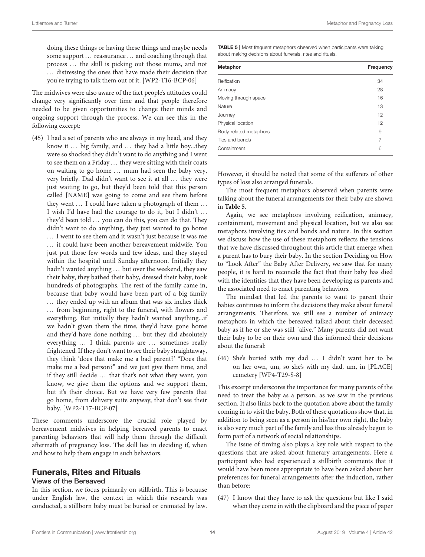doing these things or having these things and maybe needs some support ... reassurance ... and coaching through that process ... the skill is picking out those mums, and not ... distressing the ones that have made their decision that you're trying to talk them out of it. [WP2-T16-BCP-06]

The midwives were also aware of the fact people's attitudes could change very significantly over time and that people therefore needed to be given opportunities to change their minds and ongoing support through the process. We can see this in the following excerpt:

(45) I had a set of parents who are always in my head, and they know it ... big family, and ... they had a little boy...they were so shocked they didn't want to do anything and I went to see them on a Friday ... they were sitting with their coats on waiting to go home ... mum had seen the baby very, very briefly. Dad didn't want to see it at all ... they were just waiting to go, but they'd been told that this person called [NAME] was going to come and see them before they went ... I could have taken a photograph of them ... I wish I'd have had the courage to do it, but I didn't ... they'd been told ... you can do this, you can do that. They didn't want to do anything, they just wanted to go home ... I went to see them and it wasn't just because it was me ... it could have been another bereavement midwife. You just put those few words and few ideas, and they stayed within the hospital until Sunday afternoon. Initially they hadn't wanted anything ... but over the weekend, they saw their baby, they bathed their baby, dressed their baby, took hundreds of photographs. The rest of the family came in, because that baby would have been part of a big family ... they ended up with an album that was six inches thick ... from beginning, right to the funeral, with flowers and everything. But initially they hadn't wanted anything...if we hadn't given them the time, they'd have gone home and they'd have done nothing ... but they did absolutely everything ... I think parents are ... sometimes really frightened. If they don't want to see their baby straightaway, they think 'does that make me a bad parent?' "Does that make me a bad person?" and we just give them time, and if they still decide ... that that's not what they want, you know, we give them the options and we support them, but it's their choice. But we have very few parents that go home, from delivery suite anyway, that don't see their baby. [WP2-T17-BCP-07]

These comments underscore the crucial role played by bereavement midwives in helping bereaved parents to enact parenting behaviors that will help them through the difficult aftermath of pregnancy loss. The skill lies in deciding if, when and how to help them engage in such behaviors.

#### Funerals, Rites and Rituals Views of the Bereaved

In this section, we focus primarily on stillbirth. This is because under English law, the context in which this research was conducted, a stillborn baby must be buried or cremated by law. <span id="page-14-0"></span>TABLE 5 | Most frequent metaphors observed when participants were talking about making decisions about funerals, rites and rituals.

| Metaphor               | Frequency |  |
|------------------------|-----------|--|
| Reification            | 34        |  |
| Animacy                | 28        |  |
| Moving through space   | 16        |  |
| Nature                 | 13        |  |
| Journey                | 12        |  |
| Physical location      | 12        |  |
| Body-related metaphors | 9         |  |
| Ties and bonds         | 7         |  |
| Containment            | 6         |  |

However, it should be noted that some of the sufferers of other types of loss also arranged funerals.

The most frequent metaphors observed when parents were talking about the funeral arrangements for their baby are shown in **[Table 5](#page-14-0)**.

Again, we see metaphors involving reification, animacy, containment, movement and physical location, but we also see metaphors involving ties and bonds and nature. In this section we discuss how the use of these metaphors reflects the tensions that we have discussed throughout this article that emerge when a parent has to bury their baby. In the section Deciding on How to "Look After" the Baby After Delivery, we saw that for many people, it is hard to reconcile the fact that their baby has died with the identities that they have been developing as parents and the associated need to enact parenting behaviors.

The mindset that led the parents to want to parent their babies continues to inform the decisions they make about funeral arrangements. Therefore, we still see a number of animacy metaphors in which the bereaved talked about their deceased baby as if he or she was still "alive." Many parents did not want their baby to be on their own and this informed their decisions about the funeral:

(46) She's buried with my dad ... I didn't want her to be on her own, um, so she's with my dad, um, in [PLACE] cemetery [WP4-T29-S-8]

This excerpt underscores the importance for many parents of the need to treat the baby as a person, as we saw in the previous section. It also links back to the quotation above about the family coming in to visit the baby. Both of these quotations show that, in addition to being seen as a person in his/her own right, the baby is also very much part of the family and has thus already begun to form part of a network of social relationships.

The issue of timing also plays a key role with respect to the questions that are asked about funerary arrangements. Here a participant who had experienced a stillbirth comments that it would have been more appropriate to have been asked about her preferences for funeral arrangements after the induction, rather than before:

(47) I know that they have to ask the questions but like I said when they come in with the clipboard and the piece of paper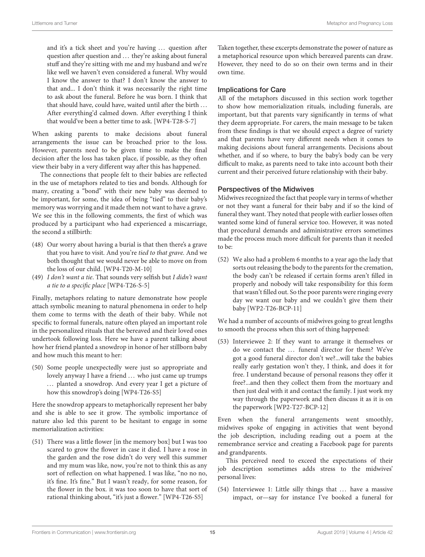and it's a tick sheet and you're having ... question after question after question and ... they're asking about funeral stuff and they're sitting with me and my husband and we're like well we haven't even considered a funeral. Why would I know the answer to that? I don't know the answer to that and... I don't think it was necessarily the right time to ask about the funeral. Before he was born. I think that that should have, could have, waited until after the birth . . . After everything'd calmed down. After everything I think that would've been a better time to ask. [WP4-T28-S-7]

When asking parents to make decisions about funeral arrangements the issue can be broached prior to the loss. However, parents need to be given time to make the final decision after the loss has taken place, if possible, as they often view their baby in a very different way after this has happened.

The connections that people felt to their babies are reflected in the use of metaphors related to ties and bonds. Although for many, creating a "bond" with their new baby was deemed to be important, for some, the idea of being "tied" to their baby's memory was worrying and it made them not want to have a grave. We see this in the following comments, the first of which was produced by a participant who had experienced a miscarriage, the second a stillbirth:

- (48) Our worry about having a burial is that then there's a grave that you have to visit. And you're tied to that grave. And we both thought that we would never be able to move on from the loss of our child. [WP4-T20-M-10]
- (49) I don't want a tie. That sounds very selfish but I didn't want a tie to a specific place [WP4-T26-S-5]

Finally, metaphors relating to nature demonstrate how people attach symbolic meaning to natural phenomena in order to help them come to terms with the death of their baby. While not specific to formal funerals, nature often played an important role in the personalized rituals that the bereaved and their loved ones undertook following loss. Here we have a parent talking about how her friend planted a snowdrop in honor of her stillborn baby and how much this meant to her:

(50) Some people unexpectedly were just so appropriate and lovely anyway I have a friend ... who just came up trumps ... planted a snowdrop. And every year I get a picture of how this snowdrop's doing [WP4-T26-S5]

Here the snowdrop appears to metaphorically represent her baby and she is able to see it grow. The symbolic importance of nature also led this parent to be hesitant to engage in some memorialization activities:

(51) There was a little flower [in the memory box] but I was too scared to grow the flower in case it died. I have a rose in the garden and the rose didn't do very well this summer and my mum was like, now, you're not to think this as any sort of reflection on what happened. I was like, "no no no, it's fine. It's fine." But I wasn't ready, for some reason, for the flower in the box. it was too soon to have that sort of rational thinking about, "it's just a flower." [WP4-T26-S5]

Taken together, these excerpts demonstrate the power of nature as a metaphorical resource upon which bereaved parents can draw. However, they need to do so on their own terms and in their own time.

#### Implications for Care

All of the metaphors discussed in this section work together to show how memorialization rituals, including funerals, are important, but that parents vary significantly in terms of what they deem appropriate. For carers, the main message to be taken from these findings is that we should expect a degree of variety and that parents have very different needs when it comes to making decisions about funeral arrangements. Decisions about whether, and if so where, to bury the baby's body can be very difficult to make, as parents need to take into account both their current and their perceived future relationship with their baby.

#### Perspectives of the Midwives

Midwives recognized the fact that people vary in terms of whether or not they want a funeral for their baby and if so the kind of funeral they want. They noted that people with earlier losses often wanted some kind of funeral service too. However, it was noted that procedural demands and administrative errors sometimes made the process much more difficult for parents than it needed to be:

(52) We also had a problem 6 months to a year ago the lady that sorts out releasing the body to the parents for the cremation, the body can't be released if certain forms aren't filled in properly and nobody will take responsibility for this form that wasn't filled out. So the poor parents were ringing every day we want our baby and we couldn't give them their baby [WP2-T26-BCP-11]

We had a number of accounts of midwives going to great lengths to smooth the process when this sort of thing happened:

(53) Interviewee 2: If they want to arrange it themselves or do we contact the ... funeral director for them? We've got a good funeral director don't we?...will take the babies really early gestation won't they, I think, and does it for free. I understand because of personal reasons they offer it free?...and then they collect them from the mortuary and then just deal with it and contact the family. I just work my way through the paperwork and then discuss it as it is on the paperwork [WP2-T27-BCP-12]

Even when the funeral arrangements went smoothly, midwives spoke of engaging in activities that went beyond the job description, including reading out a poem at the remembrance service and creating a Facebook page for parents and grandparents.

This perceived need to exceed the expectations of their job description sometimes adds stress to the midwives' personal lives:

(54) Interviewee 1: Little silly things that ... have a massive impact, or—say for instance I've booked a funeral for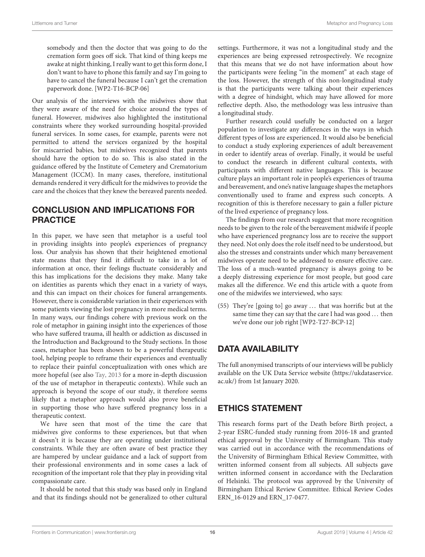somebody and then the doctor that was going to do the cremation form goes off sick. That kind of thing keeps me awake at night thinking, I really want to get this form done, I don't want to have to phone this family and say I'm going to have to cancel the funeral because I can't get the cremation paperwork done. [WP2-T16-BCP-06]

Our analysis of the interviews with the midwives show that they were aware of the need for choice around the types of funeral. However, midwives also highlighted the institutional constraints where they worked surrounding hospital-provided funeral services. In some cases, for example, parents were not permitted to attend the services organized by the hospital for miscarried babies, but midwives recognized that parents should have the option to do so. This is also stated in the guidance offered by the Institute of Cemetery and Crematorium Management (ICCM). In many cases, therefore, institutional demands rendered it very difficult for the midwives to provide the care and the choices that they knew the bereaved parents needed.

# CONCLUSION AND IMPLICATIONS FOR **PRACTICE**

In this paper, we have seen that metaphor is a useful tool in providing insights into people's experiences of pregnancy loss. Our analysis has shown that their heightened emotional state means that they find it difficult to take in a lot of information at once, their feelings fluctuate considerably and this has implications for the decisions they make. Many take on identities as parents which they enact in a variety of ways, and this can impact on their choices for funeral arrangements. However, there is considerable variation in their experiences with some patients viewing the lost pregnancy in more medical terms. In many ways, our findings cohere with previous work on the role of metaphor in gaining insight into the experiences of those who have suffered trauma, ill health or addiction as discussed in the Introduction and Background to the Study sections. In those cases, metaphor has been shown to be a powerful therapeutic tool, helping people to reframe their experiences and eventually to replace their painful conceptualization with ones which are more hopeful (see also [Tay, 2013](#page-17-23) for a more in-depth discussion of the use of metaphor in therapeutic contexts). While such an approach is beyond the scope of our study, it therefore seems likely that a metaphor approach would also prove beneficial in supporting those who have suffered pregnancy loss in a therapeutic context.

We have seen that most of the time the care that midwives give conforms to these experiences, but that when it doesn't it is because they are operating under institutional constraints. While they are often aware of best practice they are hampered by unclear guidance and a lack of support from their professional environments and in some cases a lack of recognition of the important role that they play in providing vital compassionate care.

It should be noted that this study was based only in England and that its findings should not be generalized to other cultural settings. Furthermore, it was not a longitudinal study and the experiences are being expressed retrospectively. We recognize that this means that we do not have information about how the participants were feeling "in the moment" at each stage of the loss. However, the strength of this non-longitudinal study is that the participants were talking about their experiences with a degree of hindsight, which may have allowed for more reflective depth. Also, the methodology was less intrusive than a longitudinal study.

Further research could usefully be conducted on a larger population to investigate any differences in the ways in which different types of loss are experienced. It would also be beneficial to conduct a study exploring experiences of adult bereavement in order to identify areas of overlap. Finally, it would be useful to conduct the research in different cultural contexts, with participants with different native languages. This is because culture plays an important role in people's experiences of trauma and bereavement, and one's native language shapes the metaphors conventionally used to frame and express such concepts. A recognition of this is therefore necessary to gain a fuller picture of the lived experience of pregnancy loss.

The findings from our research suggest that more recognition needs to be given to the role of the bereavement midwife if people who have experienced pregnancy loss are to receive the support they need. Not only does the role itself need to be understood, but also the stresses and constraints under which many bereavement midwives operate need to be addressed to ensure effective care. The loss of a much-wanted pregnancy is always going to be a deeply distressing experience for most people, but good care makes all the difference. We end this article with a quote from one of the midwifes we interviewed, who says:

(55) They're [going to] go away . . . that was horrific but at the same time they can say that the care I had was good ... then we've done our job right [WP2-T27-BCP-12]

# DATA AVAILABILITY

The full anonymised transcripts of our interviews will be publicly available on the UK Data Service website [\(https://ukdataservice.](https://ukdataservice.ac.uk/) [ac.uk/\)](https://ukdataservice.ac.uk/) from 1st January 2020.

# ETHICS STATEMENT

This research forms part of the Death before Birth project, a 2-year ESRC-funded study running from 2016-18 and granted ethical approval by the University of Birmingham. This study was carried out in accordance with the recommendations of the University of Birmingham Ethical Review Committee, with written informed consent from all subjects. All subjects gave written informed consent in accordance with the Declaration of Helsinki. The protocol was approved by the University of Birmingham Ethical Review Committee. Ethical Review Codes ERN\_16-0129 and ERN\_17-0477.